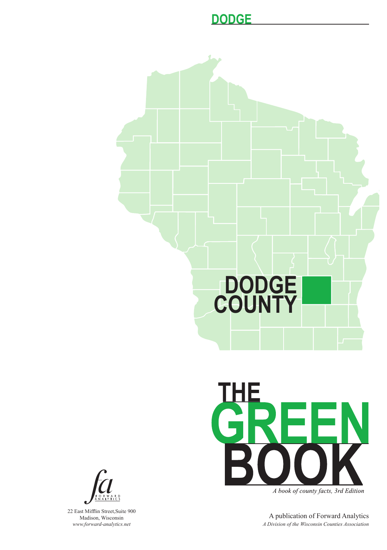



A book of county facts, 3rd Edition

A publication of Forward Analytics *A Division of the Wisconsin Counties Association*



22 East Mifflin Street,Suite 900 Madison, Wisconsin *www.forward-analytics.net*